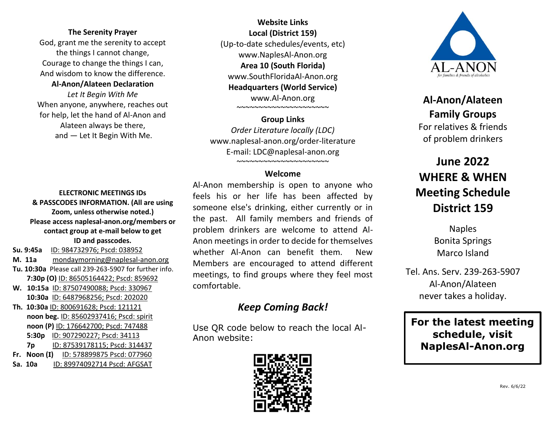#### **The Serenity Prayer**

God, grant me the serenity to accept the things I cannot change, Courage to change the things I can, And wisdom to know the difference.

**Al-Anon/Alateen Declaration** *Let It Begin With Me* When anyone, anywhere, reaches out for help, let the hand of Al-Anon and Alateen always be there, and — Let It Begin With Me.

### **Website Links Local (District 159)** (Up-to-date schedules/events, etc) www.NaplesAl-Anon.org **Area 10 (South Florida)** www.SouthFloridaAl-Anon.org **Headquarters (World Service)** www.Al-Anon.org ~~~~~~~~~~~~~~~~~~~~~

**Group Links** *Order Literature locally (LDC)* www.naplesal-anon.org/order-literature E-mail: LDC@naplesal-anon.org ~~~~~~~~~~~~~~~~~~~~~

#### **Welcome**

**ELECTRONIC MEETINGS IDs & PASSCODES INFORMATION. (All are using Zoom, unless otherwise noted.) Please access naplesal-anon.org/members or contact group at e-mail below to get ID and passcodes. Su. 9:45a** ID: 984732976; Pscd: 038952

- **M. 11a** mondaymorning@naplesal-anon.org **Tu. 10:30a** Please call 239-263-5907 for further info.  **7:30p (O)** ID: 86505164422; Pscd: 859692
- **W. 10:15a** ID: 87507490088; Pscd: 330967  **10:30a** [ID:](mailto:serenityforparents2@naplesal-anon.org) 6487968256; Pscd: 202020

**Th. 10:30a** [ID:](mailto:discoveringchoices@naplesal-anon.org) 800691628; Pscd: 121121  **noon beg.** ID: 85602937416; Pscd: spirit **noon (P)** ID: 176642700; Pscd: 747488  **5:30p** ID: 907290227; Pscd: 34113  **7p** ID: 87539178115; Pscd: 314437 **Fr. Noon (I)** ID: 578899875 Pscd: 077960

**Sa. 10a** ID: 89974092714 Pscd: AFGSAT

Al-Anon membership is open to anyone who feels his or her life has been affected by someone else's drinking, either currently or in the past. All family members and friends of problem drinkers are welcome to attend Al-Anon meetings in order to decide for themselves whether Al-Anon can benefit them. New Members are encouraged to attend different meetings, to find groups where they feel most comfortable.

## *Keep Coming Back!*

Use QR code below to reach the local Al-Anon website:





**Al-Anon/Alateen Family Groups** For relatives & friends of problem drinkers

# **June 2022 WHERE & WHEN Meeting Schedule District 159**

Naples Bonita Springs Marco Island

Tel. Ans. Serv. 239-263-5907 Al-Anon/Alateen never takes a holiday.

**For the latest meeting schedule, visit NaplesAl-Anon.org**